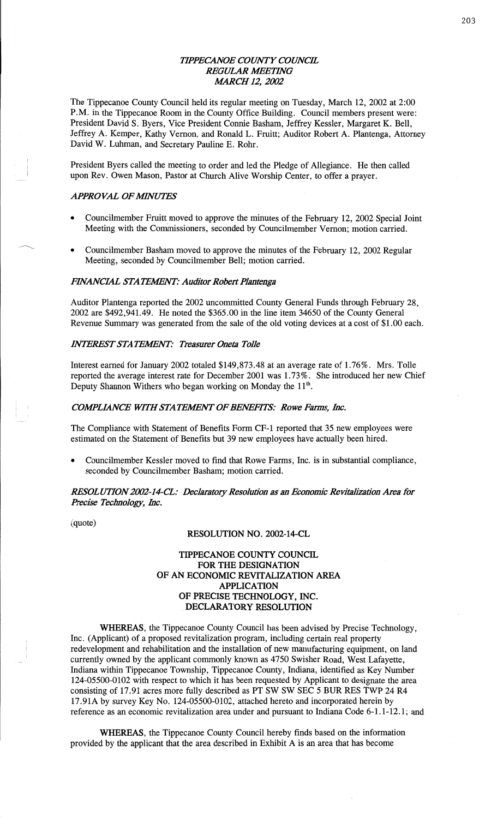### *TH'PECANOE COUNTY COUNCE REGULAR IIIEETHVG [MARCH* 12, *2002*

The Tippecanoe County Council held its regular meeting on Tuesday, March 12, 2002 at 2:00 **P.M.** in the Tippecanoe Room in the County Office Building. Council members present were: President **David** S. Byers, **Vice** President Connie Basham, Jeffrey Kessler, Margaret K. Bell, Jeffrey A. Kemper, Kathy Vernon, and Ronald L. Pruitt; Auditor Robert A. Plantenga, Attorney **David** W. **Luhman,** and Secretary Pauline E. Rohr.

President Byers **called** the meeting to order and led the Pledge of Allegiance. He then called upon Rev. Owen Mason, Pastor at Church Alive Worship Center, to offer a prayer.

### *APPROVAL OF MINUTES*

- Councilmember Fruitt moved to approve the minutes of the February 12, 2002 Special Joint Meeting with the Commissioners, seconded by Councilmember Vernon; motion carried.
- **0** Councilmember **Basham** moved to approve the minutes of the February 12, 2002 Regular Meeting, seconded by Councilmember Bell; motion carried.

### *EVANCML* STA YFAIENY'.' *Auditor Robezt Plantenga*

Auditor Plantenga reported the 2002 uncommitted County General Funds through February 28, 2002 are \$492,941.49. He noted the \$365.00 in the line item 34650 of the County General Revenue Summary was generated from the sale of the old voting devices at a cost of \$1.00 each.

### *INTEREST STATEMENT: Treasurer Oneta Tolle*

Interest earned for January 2002 totaled \$149,873.48 at an average rate of 1.76%. Mrs. Tolle reported the average interest rate for December 2001 was 1.73%. She introduced her new **Chief**  Deputy Shannon Withers who began working on Monday the 11<sup>th</sup>.

# *COMPLIANCE WITH STATEMENT OF BENEFITS: Rowe Farms, Inc.*

The Compliance with Statement of Benefits Form CF-1 reported that 35 new employees were estimated on the Statement of Benefits but 39 new employees have actually been hired.

**o** Councilmember Kessler **moved** to find that Rowe Farms, Inc. is in substantial compliance, seconded by Councihnember **Basham;** motion carried.

*RESOL UT10N2002-14-CL: Declaratozy Resolution* as an *Economic Revitalization* Area for *Hecisc Technology, Inc.* 

(quote)

### **RESOLUTION** NO. 2002-14-CL

### **TIPPECANOE COUNTY COUNCIL**  FOR THE **DESIGNATION**  OF AN **ECONOMIC REVITALIZATION AREA APPLICATION**  OF **PRECISE TECHNOLOGY,** INC. .DECLARATORY **RESOLUTION**

WHEREAS, the Tippecanoe County Council has been advised by Precise Technology, **Inc.** (Applicant) of a proposed revitalization program, including certain real property redevelopment and rehabilitation and the installation of new manufacturing equipment, on land currently owned by the applicant commonly known as 4750 Swisher Road, **West** Lafayette, **Indiana** within Tippecanoe Township, Tippecanoe County, **Indiana,** identified as Key Number 124-05500—0102 with respect to which it has been requested by Applicant to designate the area consisting of 17.91 acres more fully described as PT SW SW SEC 5 BUR RES TWP 24 R4 17.91A by survey Key No. 124-05500—0102, **attached** hereto and incorporated **herein** by reference as an economic revitalization area under and pursuant to **Indiana** Code 6-1.1-12.1; and

WHEREAS, the Tippecanoe County Council hereby finds based on the information provided by the applicant that the area described in Exhibit A is an area that has become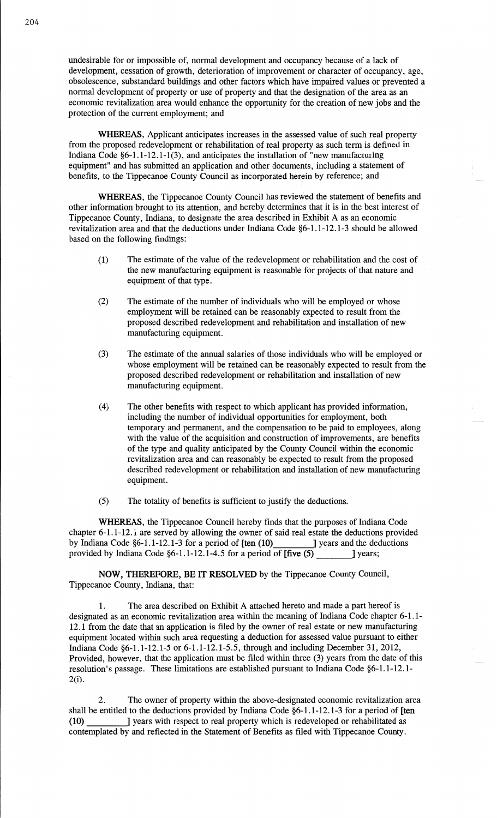undesirable for or impossible of, normal development and occupancy because of a lack of development, cessation of growth, deterioration of improvement or character of occupancy, age, obsolescence, substandard buildings and other factors which have impaired values or prevented a normal development of property or use of property and that the designation of the area as an economic revitalization area would enhance the opportunity for the creation of new jobs and the protection of the current employment; and

**WHEREAS,** Applicant anticipates increases in the **assessed value** of **such** real property from the proposed redevelopment or rehabilitation of real property as such term is defined in **Indiana** Code §6—1.1-12.1-1(3), and anticipates the **installation** of "new manufacturing equipment" and has submitted an **application** and other documents, including a statement of **benefits,** to the Tippecanoe County Council as incorporated hergin by reference; and

**WHEREAS,** the Tippecanoe County Council has revieWed the statement of benefits and other **information** brought to its attention, and hereby determines that it is in the best **interest** of Tippecanoe County, Indiana, to designate the area described in Exhibit **A** as an economic revitalization area and that the deductions under **Indiana** Code §6—1.1—12.1-3 should be allowed based on the following findings:

- (1) The estimate of the value of the redevelopment or rehabilitation and the cost of the new manufacturing equipment is reasonable for projects of that nature and equipment of that type.
- (2) The estimate of the number of **individuals** who will be employed or whose employment will be retained can be reasonably expected to result from the proposed described redevelopment and rehabilitation and installation of new manufacturing equipment.
- (3) The estimate of the **annual** salaries of those **individuals** who will be employed or whose employment will be **retained** can be reasonably **expected** to result from the proposed described redevelopment or rehabilitation and **installation** of new manufacturing equipment.
- (4) The **other** benefits with respect to which applicant has provided information, including the number of individual opportunities for employment, both temporary and permanent, and the compensation to be paid to employees, along with the value of the acquisition and construction of improvements, are benefits of the type and quality anticipated by the County Council within the economic revitalization area and can reasonably be expected to result from the proposed described redevelopment or rehabilitation and **installation** of new manufacturing equipment.
- (5) The totality of benefits is sufficient to justify the deductions.

**WHEREAS,** the Tippecanoe Council hereby finds that the purposes of **Indiana Code**  chapter 6-1.1-12.1 are served by allowing the owner of said real estate the deductions provided by Indiana Code §6—1.1-12.1-3 for **a** period of **[ten** (10) *|* years and the deductions provided by Indiana Code §6-1.1-12.1-4.5 for a period of  $[\text{five (5)}$  \_\_\_\_\_\_\_\_\_] years;

**NOW, THEREFORE,** BE IT **RESOLVED** by the Tippecanoe County Council, Tippecanoe County, **Indiana,** that:

1. The area described on **Exhibit A** attached hereto and made a part hereof is designated as an economic revitalization area within the meaning of Indiana Code chapter 6-1.1- **12.1** from the date **that** an application is filed by the owner of real estate or new manufacturing equipment located within such area requesting a deduction for assessed value pursuant to **either**  Indiana Code **§6-1.1-12.1-5** or **6-1.1-12.1-5.5,** through and including December 31, 2012, Provided, however, that the application must be filed within three (3) years from the date of this resolution's passage. **These** limitations are established pursuant to Indiana Code **§6-1.1-12.** 1- 2(1).

2. The owner of property **within** the above-designated economic revitalization area shall be entitled to the deductions provided by **Indiana** Code §6—1.1-12.1-3 for **<sup>a</sup>**period of **[ten (10)** | years with respect to real property which is redeveloped or rehabilitated as contemplated by and reflected in the Statement of Benefits as filed with Tippecanoe County.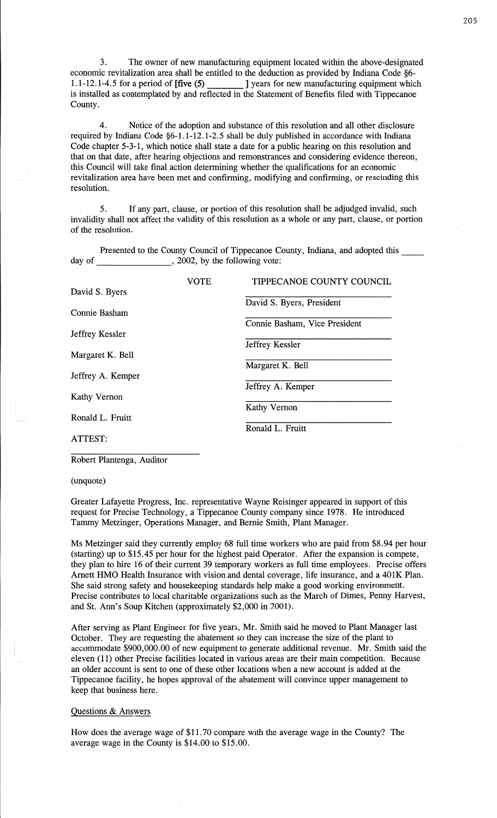3. The owner of new manufacturing equipment located within the above-designated economic revitalization area shall be entitled to the deduction as provided by Indiana Code §6-<br>1.1-12.1-4.5 for a period of **Ifive (5)** <br>1 years for new manufacturing equipment which 1 years for new manufacturing equipment which is **installed** as contemplated by and reflected in the **Statement** of **Benefits** filed with Tippecanoe **County.** 

4. Notice of the adoption and substance of this **resolution** and all other disclosure required by **Indiana** Code §6-1.1-12.1—2.5 shall be duly published in accordance with Indiana Code chapter 5-3-1, which notice **shall** state a date for a public hearing on this resolution and that on that date, after hearing objections and remonstrances and considering **evidence** thereon, this Council will take final action determining whether the qualifications for an economic revitalization area have been met and confirming, modifying and confirming, or rescinding **this**  resolution.

5. If any part, clause, or **portion** of **this** resolution shall be adjudged invalid, such invalidity **shall** not affect the validity of this **resolution** as **a** whole or any part, clause, or **portion**  of the **resolution.** 

Presented to the County Council of Tippecanoe County, **Indiana,** and adopted this day of  $, 2002,$  by the following vote:

|                   | <b>VOTE</b> | TIPPECANOE COUNTY COUNCIL     |
|-------------------|-------------|-------------------------------|
| David S. Byers    |             |                               |
|                   |             | David S. Byers, President     |
| Connie Basham     |             |                               |
| Jeffrey Kessler   |             | Connie Basham, Vice President |
|                   |             | Jeffrey Kessler               |
| Margaret K. Bell  |             |                               |
|                   |             | Margaret K. Bell              |
| Jeffrey A. Kemper |             |                               |
| Kathy Vernon      |             | Jeffrey A. Kemper             |
|                   |             | Kathy Vernon                  |
| Ronald L. Fruitt  |             |                               |
|                   |             | Ronald L. Fruitt              |
| ATTEST:           |             |                               |

Robert **Plantenga,** Auditor

(unquote)

Greater Lafayette Progress, Inc. representative Wayne Reisinger appeared in support of this request for Precise Technology, a Tippecanoe County company **since 1978.** He introduced Tammy Metzinger, Operations Manager, and Bernie **Smith, Plant Manager.** 

Ms Metzinger **said** they currently employ 68 full time workers who are paid from \$8.94 per hour (starting) up to \$15.45 per hour for the highest **paid** Operator. After the **expansion** is compete, they plan to hire 16 of their current 39 temporary workers as full time employees. Precise offers Amett HMO Health Insurance with vision and dental coverage, life insurance, and a 401K Plan. She said strong safety and housekeeping standards help make a good working environment. Precise contributes to local charitable organizations **such** as the March of Dimes, Penny Harvest, and St. **Ann's** Soup Kitchen (approximately \$2,000 in **2001).** 

After serving as Plant Engineer for five years, Mr. **Smith** said he moved to Plant Manager last October. They are requesting the abatement so they can increase the **size** of the **plant** to accommodate \$900,000.00 of new equipment to generate additional revenue. Mr. Smith said the eleven (11) other Precise facilities located in various areas are their **main** competition. Because an **older** account is sent to one of these **other** locations when **a** new account is added at the **Tippecanoe** facility, he **hopes** approval of the abatement will **convince** upper **management** to keep that business **here.** 

### **uestions** & Answers

How does the average wage of \$11.70 compare with the average wage in the County? The average wage in the County is \$14.00 to \$15.00.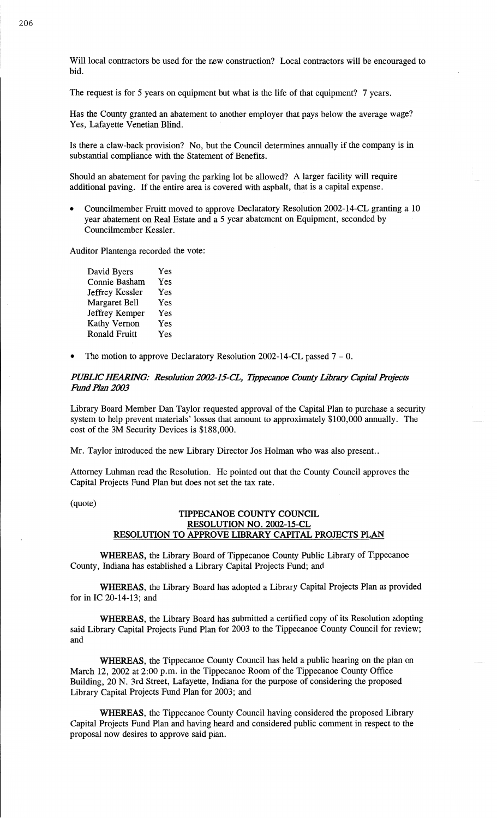Will local contractors be used for the new construction? Local contractors will be encouraged to bid.

The request is for 5 years on equipment but what is the **life** of that equipment? **7** years.

Has the County granted an abatement to another employer that pays below the average wage? Yes, Lafayette Venetian Blind.

Is there a claw-back provision? No, but the Council determines annually if the company is in **substantial** compliance with the Statement of **Benefits.** 

Should an abatement for paving the parking lot be allowed? A larger facility will require additional paving. If the entire area is covered with asphalt, that is a **capital** expense.

**0 Councilmember** Fruitt moved to approve Declaratory Resolution 2002-14CL granting **a** <sup>10</sup> year abatement on Real Estate and **a** 5 year abatement on Equipment, **seconded** by Councilmember Kessler.

Auditor **Plantenga** recorded the vote:

David Byers Yes Connie **Basham** Yes Jeffrey Kessler Yes Margaret Bell Yes Jeffrey Kemper Yes Kathy Vernon Yes Ronald Fruitt Yes

**0** The motion to approve Declaratory Resolution 2002-14—CL passed **7** — 0.

### *PUBLIC IEARHVG: Resolution 2002-I5—C'L, Tippecanoe County Library Capital* Pny'ccts Fimd *Plan 2003*

Library **Board** Member Dan Taylor requested approval of the Capital **Plan** to purchase a security system to help prevent materials' **losses** that amount to approximately \$100,000 annually. The cost of the 3M Security Devices is \$188,000.

Mr. Taylor introduced the new Library Director Jos Holman who was also present..

Attorney Luhman **read** the Resolution. He pointed out that the County Council **approves** the **Capital Projects** Fund Plan but does not set the tax rate.

(quote)

# **TIPPECANOE COUNTY COUNCIL RESOLUTION** NO. 2002-15-CL **RESOLUTION** TO **APPROVE LIBRARY CAPITAL PROJECTS PLAN**

**WHEREAS,** the Library Board of Tippecanoe County Public Library of Tippecanoe County, **Indiana** has established a Library Capital Projects Fund; and

**WHEREAS,** the Library Board has adopted a Library Capital Projects **Plan** as provided for in IC 20-14-13; and

**WHEREAS,** the Library Board has submitted a certified copy of its Resolution **adopting**  said Library Capital Projects Fund Plan for 2003 to the Tippecanoe County Council for review; and

WHEREAS, the Tippecanoe County Council has held a public hearing on the plan on March 12, 2002 at 2:00 p.m. in the Tippecanoe Room of the Tippecanoe County Office Building, 20 N. 3rd Street, Lafayette, **Indiana** for the purpose of considering the **proposed**  Library Capital Projects Fund Plan for 2003; and

**WHEREAS,** the Tippecanoe County Council having considered the proposed Library Capital Projects Fund **Plan** and **having** heard and considered public comment in respect to the proposal now desires to approve said plan.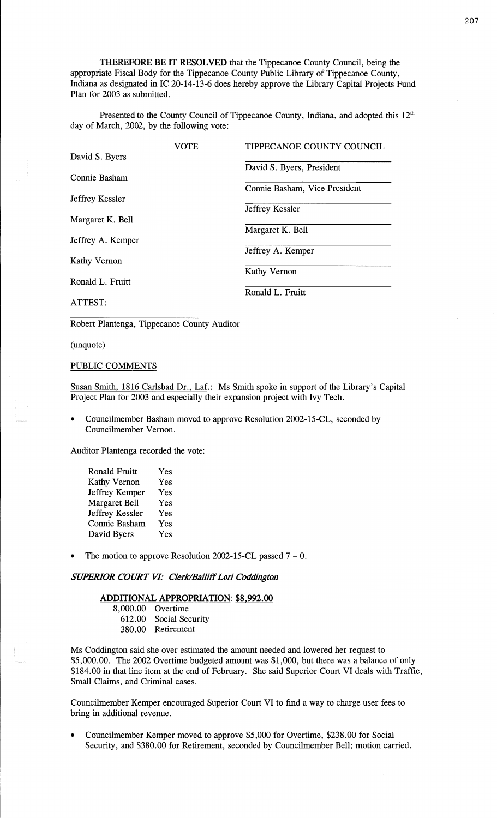**THEREFORE** BE IT **RESOLVED** that the Tippecanoe County Council, **being** the appropriate Fiscal Body for the Tippecanoe County Public Library of Tippecanoe County, **Indiana** as designated in IC 20—14-13-6 does hereby approve the Library **Capital** Projects Fund Plan for 2003 as submitted.

Presented to the County Council of Tippecanoe **County, Indiana,** and adopted **this** 12th day of March, **2002,** by the following vote:

|                     | VOTE | TIPPECANOE COUNTY COUNCIL     |
|---------------------|------|-------------------------------|
| David S. Byers      |      |                               |
|                     |      | David S. Byers, President     |
| Connie Basham       |      |                               |
|                     |      | Connie Basham, Vice President |
| Jeffrey Kessler     |      |                               |
|                     |      | Jeffrey Kessler               |
| Margaret K. Bell    |      |                               |
|                     |      | Margaret K. Bell              |
| Jeffrey A. Kemper   |      |                               |
|                     |      | Jeffrey A. Kemper             |
| <b>Kathy Vernon</b> |      |                               |
|                     |      | Kathy Vernon                  |
| Ronald L. Fruitt    |      |                               |
|                     |      | Ronald L. Fruitt              |
| ATTEST:             |      |                               |

Robert Plantenga, Tippecanoe County **Auditor** 

(unquote)

# **PUBLIC** COMMENTS

Susan Smith, 1816 Carlsbad Dr., Laf.: Ms Smith spoke in support of the Library's Capital Project Plan for 2003 and especially their **expansion** project with Ivy Tech.

*0* Councilmember **Basham moved** to approve Resolution 2002-15-CL, seconded by Councilmember Vernon.

Auditor Plantenga recorded the vote:

- **Ronald** Fruitt Yes Kathy Vernon Yes Jeffrey Kemper Yes Margaret Bell Yes Jeffrey Kessler Yes **Connie** Basham Yes David Byers Yes
- The motion to approve Resolution 2002-15-CL passed  $7 0$ .

# $SUPERIOR$  *COURT VI: Clerk/Bailiff Lori Coddington*

# **ADDITIONAL APPROPRIATION: \$8,992.00**

| 8,000.00 Overtime      |
|------------------------|
| 612.00 Social Security |
| 380.00 Retirement      |

Ms Coddington said she over estimated the amount needed and lowered her request to \$5,000.00. The 2002 Overtime budgeted amount was \$1,000, but there was a balance of only \$184.00 in that line item at the end of February. She said Superior Court VI deals with Traffic, Small Claims, and Criminal cases.

Councilmember Kemper encouraged Superior Court VI to find a way to charge user fees to bring in additional revenue.

**0** Councilmember Kemper **moved** to approve \$5,000 for Overtime, \$238.00 for Social Security, and \$380.00 for Retirement, **seconded** by Councilmember Bell; motion carried.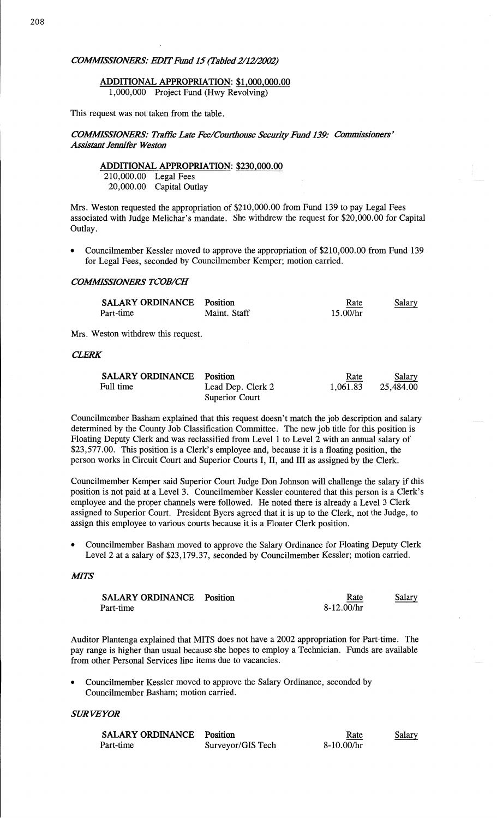### **ADDITIONAL APPROPRIATION: \$1,000,000.00**  1,000,000 Project Fund (Hwy Revolving)

**This** request was not **taken from** the table.

# COMMISSIONERS: Traffic Late Fee/Courthouse Security Fund 139: Commissioners' *Assictant* Jennifer *Weston*

# **ADDITIONAL APPROPRIATION: \$230,000.00**

210,000.00 Legal Fees **20,000.00** Capital Outlay

Mrs. Weston requested the appropriation of \$210,000.00 from Fund 139 to pay Legal Fees associated with Judge Melichar's **mandate.** She withdrew the request for \$20,000.00 for Capital Outlay.

**0 Councilmember** Kessler **moved** to approve the appropriation of \$210,000.00 from **Fund** 139 for Legal Fees, **seconded** by Councilmember Kemper; **motion carried.** 

#### *COMWSSIONERS TC'OB/CH*

| <b>SALARY ORDINANCE</b> Position |              | Rate     | Salary |
|----------------------------------|--------------|----------|--------|
| Part-time                        | Maint. Staff | 15.00/hr |        |

Mrs. Weston withdrew **this request.** 

# *CLERK*

| <b>SALARY ORDINANCE</b> Position |                   | Rate     | Salary    |
|----------------------------------|-------------------|----------|-----------|
| Full time                        | Lead Dep. Clerk 2 | 1.061.83 | 25.484.00 |
|                                  | Superior Court    |          |           |

Councilmember **Basham** explained that this request doesn't match the job description and salary determined by the County Job Classification Committee. The new job title for **this** position is Floating Deputy Clerk and was reclassified from Level **1** to Level **2** with an **annual** salary of \$23,577.00. **This** position is a Clerk's employee and, because it is **a** floating **position,** the **person** works in Circuit Court and Superior Courts 1, II, and III as assigned by the Clerk.

Councilmember Kemper said Superior Court Judge Don Johnson will challenge the salary if this **position** is not paid at a Level 3. **Councilmember** Kessler countered **that this** person is a Clerk's employee and the proper channels were followed. He noted there is already **a** Level 3 Clerk assigned to Superior Court. President **Byers** agreed that it is up to the Clerk, not the Judge, to assign **this** employee to various courts because it is **a** Floater Clerk position.

**0** Councilmember **Basham moved** to approve the Salary Ordinance for Floating Deputy Clerk Level **2** at a salary of \$23,179.37, seconded by Councilmember Kessler; **motion** carried.

### **MITS**

| <b>SALARY ORDINANCE</b> Position | Rate       | Salary |
|----------------------------------|------------|--------|
| Part-time                        | 8-12.00/hr |        |

Auditor Plantenga explained **that MITS** does not have a 2002 appropriation for Part-time. The pay range is higher **than** usual because she hopes to employ a **Technician. Funds** are available from other Personal Services **line items** due to **vacancies.** 

**<sup>0</sup>**Councilmember Kessler **moved** to **approve** the **Salary Ordinance, seconded** by Councilmember Basham; **motion** carried.

#### SUR *VEYOR*

| <b>SALARY ORDINANCE</b> Position |                   | Rate       | <b>Salary</b> |
|----------------------------------|-------------------|------------|---------------|
| Part-time                        | Surveyor/GIS Tech | 8-10.00/hr |               |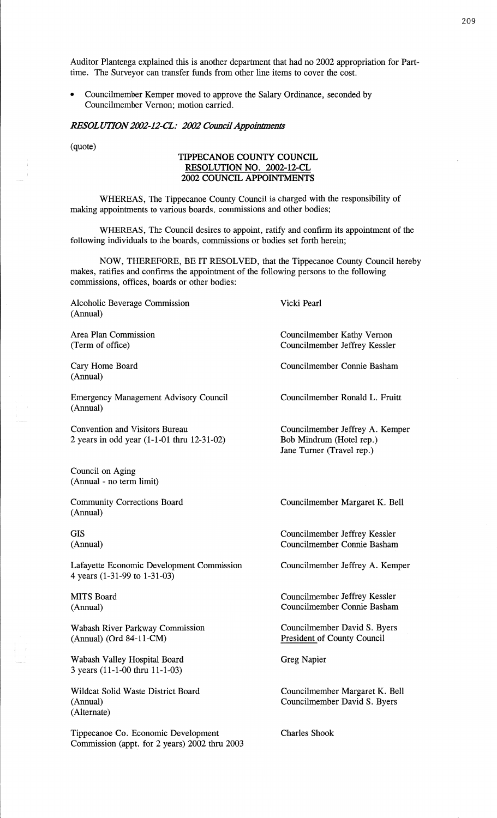Auditor Plantenga **explained this** is another department that had no 2002 appropriation for Parttime. The Surveyor can transfer funds from other line items to cover the cost.

**0** Councilmember Kemper moved to approve the Salary Ordinance, seconded by Councilmember Vernon; **motion** carried.

*RESOL UTIONZM-IZ—CL: 2002 Council Appoinmzents'* 

# (quote) **TIPPECANOE COUNTY COUNCIL RESOLUTION** NO. **2002-12-CL 2002 COUNCIL APPOINTMENTS**

WHEREAS, The Tippecanoe County Council is charged with the responsibility of making appointments to various **boards, commissions** and other bodies;

WHEREAS, The Council desires to appoint, ratify and confirm its appointment of the following individuals to the boards, commissions or bodies set forth herein;

NOW, THEREFORE, BE IT RESOLVED, that the Tippecanoe County Council hereby **makes,** ratifies and confirms the appointment of the following persons to the following commissions, offices, boards or other bodies:

Alcoholic Beverage **Commission**  (Annual)

Area **Plan** Commission (Term of office)

Cary Home **Board**  (Annual)

Emergency Management Advisory Council (Annual)

Convention and Visitors Bureau **<sup>2</sup>**years in odd year (1-1-01 thru 12—31-02)

Council on Aging **(Annual** *-* no term limit)

Community Corrections Board (Annual)

GIS (Annual)

Lafayette Economic Development **Commission**  4 years (1-31—99 to 1-31—03)

**MITS** Board (Annual)

Wabash River Parkway Commission (Annual) (0rd 84-11-CM)

Wabash Valley Hospital Board 3 years (11-1-00 thru 11—1—03)

Wildcat Solid Waste District Board (Annual) (Alternate)

Tippecanoe Co. Economic Development Commission (appt: for **2** years) 2002 **thru** 2003 **Vicki** Pearl

Councilmember Kathy Vernon Councilmember Jeffrey Kessler

Councilmember Connie Basham

Councilmember Ronald L. Fruitt

Councilmember Jeffrey A. Kemper Bob Mindrum (Hotel **rep.)**  Jane Turner (Travel rep.)

Councilmember Margaret K. Bell

Councilmember Jeffrey Kessler Councilmember Connie **Basham** 

Councilmember Jeffrey A. Kemper

Councilmember Jeffrey Kessler Councilmember Comic Basham

Councilmember David S. Byers President of County Council

Greg Napier

Councilmember Margaret K. Bell Councilmember David S. Byers

Charles **Shook**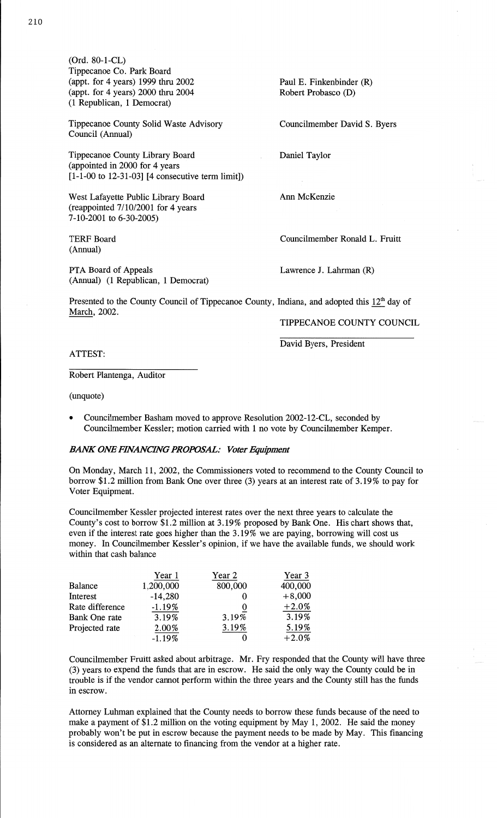(0rd. 80—1-CL) Tippecanoe C0. Park Board (appt. for 4 years) 1999 thru 2002 Paul E. Finkenbinder (R) **(appt.** for **4** years) 2000 thru 2004 Robert Probasco (D) (1 Republican, **1** Democrat)

Tippecanoe County Solid Waste Advisory Councihnember **David** S. Byers Council **(Annual)** 

Tippecanoe County Library Board *.* **Daniel** Taylor (appointed in 2000 for 4 years [1-1-00 to 12-31-03] [4 consecutive term limit])

West Lafayette Public Library Board Ann McKenzie (reappointed 7/10/2001 for 4 years 7-10-2001 to 6-30-2005)

(Annual)

PTA **Board** of Appeals Lawrence J. **Lahrman** (R) **(Annual)** (1 Republican, **1** Democrat)

TERF Board Councilmember Ronald L. Fruitt

Presented to the County Council of Tippecanoe County, Indiana, and adopted this  $12<sup>th</sup>$  day of March, 2002.

# **TIPPECANOE COUNTY COUNCIL**

David Byers, President

# **ATTEST:**

Robert Plantenga, Auditor

(unquote)

**-** Councilmember **Basham** moved to approve Resolution 2002—12—CL, seconded by **Councilmember** Kessler; **motion** carried with **1** no vote by Councilmember Kemper.

# *BANK* ONE *FWANCHVG PROPOSAL: Voter Equipment*

On **Monday,** March 11, 2002, the Commissioners voted to recommend to the County **Council** to borrow \$1.2 million from Bank One over three (3) years at an interest rate of 3.19% to pay for Voter Equipment.

Councilmember Kessler projected interest rates over the next three years to calculate the County's cost to borrow \$1.2 million at 3.19% proposed by **Bank** One. His **chart** shows **that,**  even if the interest rate goes higher **than** the 3.19% we are paying, borrowing will cost us money. In Councihnember Kessler's **opinion,** if we have the available funds, we should work within that cash balance

|                 | Year 1    | Year 2  | Year 3   |
|-----------------|-----------|---------|----------|
| Balance         | 1,200,000 | 800,000 | 400,000  |
| Interest        | $-14,280$ |         | $+8,000$ |
| Rate difference | $-1.19%$  |         | $+2.0%$  |
| Bank One rate   | 3.19%     | 3.19%   | 3.19%    |
| Projected rate  | 2.00%     | 3.19%   | 5.19%    |
|                 | $-1.19%$  |         | $+2.0%$  |

Councilmember Fruitt asked about arbitrage. Mr. Fry responded **that** the County will have three (3) years to expend the **funds that** are in escrow. He said the only way the County could be in trouble is if the vendor cannot perform within the **three** years and the County still has the **funds**  in escrow.

Attorney Luhman explained that the County needs to borrow these funds because of the need to **make** a payment of \$1.2 **million** on the voting equipment by May 1, **2002.** He said the money probably won't be put in escrow because the payment needs to be made by May. **This** financing is considered as an alternate to financing from the vendor at a higher rate.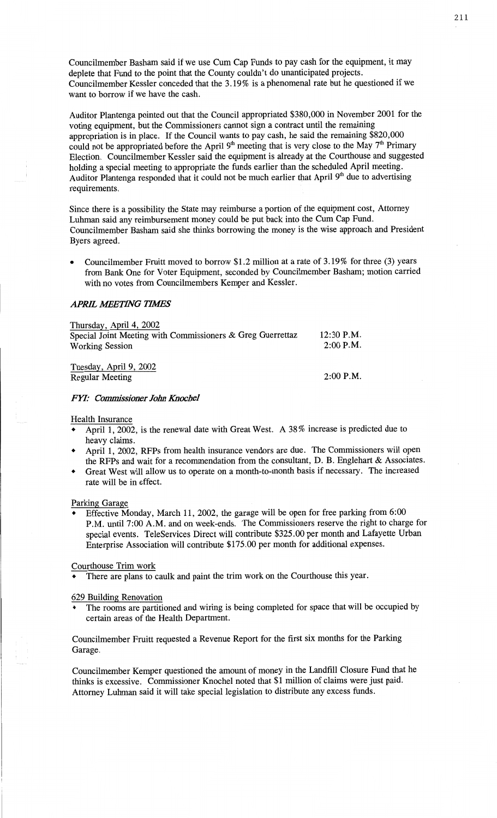**Councilmember Basham** said if we use Cum Cap Funds to pay cash for the **equipment,** it may deplete that **Fund** to the point that the **County** couldn't do unanticipated projects. Councilmember Kessler conceded **that** the 3.19% is **a phenomenal** rate but he questioned if we want to borrow if we **have** the cash.

Auditor Plantenga **pointed** out **that** the Council appropriated \$380,000 in November 2001 for the voting equipment, but the **Commissioners** cannot sign a contract until the remaining appropriation is in **place.** If the Council wants to pay cash, he **said** the remaining \$820,000 could not be appropriated before the April  $9<sup>th</sup>$  meeting that is very close to the May  $7<sup>th</sup>$  Primary Election. Councilmember **Kessler said** the equipment is already at the Courthouse and suggested **holding** a special meeting to appropriate the **funds** earlier than the scheduled April meeting. Auditor Plantenga responded that it **could** not be **much** earlier **that** April 9th due to advertising requirements.

Since there is **a possibility** the **State** may reimburse a **portion** of the equipment **cost,** Attorney **Luhman said** any reimbursement money could be put back into the Cum Cap **Fund.**  Councilmember **Basham** said she **thinks** borrowing the money is the wise **approach** and President Byers agreed.

**<sup>0</sup>**Councilmember Pruitt **moved** to borrow **\$1.2 million** at a rate of 3.19% for three (3) years from **Bank** One for Voter Equipment, seconded by Councilmember **Basham; motion** carried with no votes from Councilmembers Kemper and Kessler.

### **APRIL MEETING TIMES**

| Thursday, April 4, 2002<br>Special Joint Meeting with Commissioners & Greg Guerrettaz<br><b>Working Session</b> | $12:30$ P.M.<br>$2:00$ P.M. |
|-----------------------------------------------------------------------------------------------------------------|-----------------------------|
| Tuesday, April 9, 2002<br><b>Regular Meeting</b>                                                                | $2:00$ P.M.                 |

### *FYI: Commissioner John Knochel*

#### **Health** Insurance

- <sup>0</sup>**April** 1, 2002, is the renewal date with Great West. **A** 38% increase is predicted due to heavy claims.
- *'* April 1, 2002, RFPs **from** health insurance vendors are **due.** The Commissioners will **open**  the RFPs and wait for a **recommendation** from the consultant, D. B. Englehart & Associates.
- **<sup>0</sup>**Great West **will** allow us to operate on a **month-to-month basis** if **necessary.** The **increased**  rate will be in **effect.**

**Parking** Garage

<sup>0</sup>Effective Monday, **March** 11, 2002, the garage will be **open** for free parking from 6:00 P.M. until **7:00 A.M.** and on week-ends. The Commissioners reserve the **right** to **charge** for **special** events. TeleServices Direct will contribute \$325.00 per **month** and Lafayette Urban Enterprise Association will contribute \$175.00 per month for **additional** expenses.

#### **Courthouse** Trim work

**<sup>0</sup>**There are **plans** to caulk and paint the trim work on the **Courthouse** this year.

#### 629 Building Renovation

**<sup>0</sup>**The **rooms** are partitioned and wiring is being **completed** for space **that** will be occupied by certain areas of the **Health Department.** 

# Councilmember Fruitt requested **a** Revenue Report for the first six **months** for the Parking Garage.

Councilmember Kempcr questioned the amount of money in the Landfill Closure Fund that he **thinks** is **excessive.** Commissioner Knochel **noted** that \$1 million of **claims** were **just** paid. **Attorney Luhman** said it will take special legislation to distribute any **excess funds.**